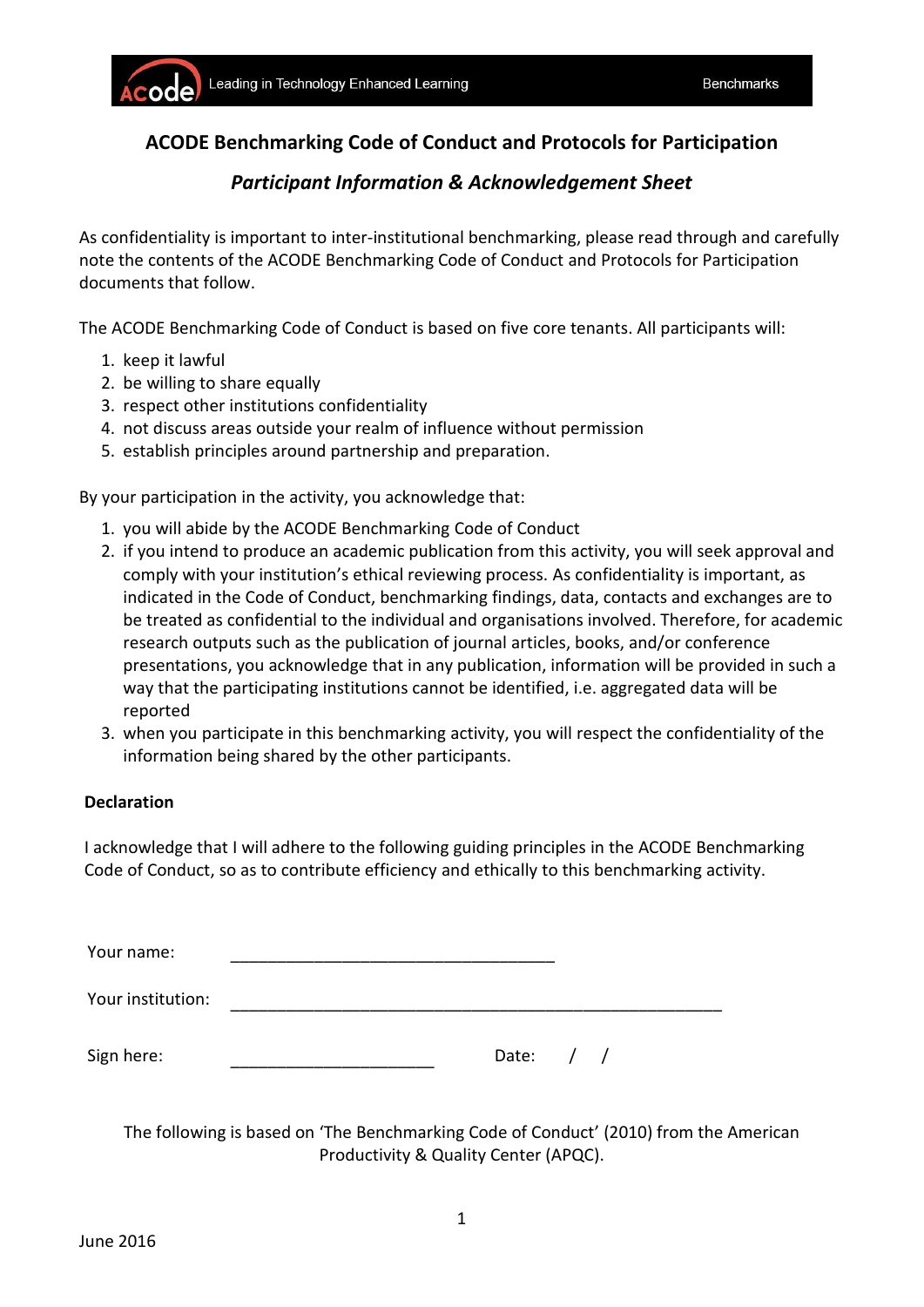

## **ACODE Benchmarking Code of Conduct and Protocols for Participation**

### *Participant Information & Acknowledgement Sheet*

As confidentiality is important to inter-institutional benchmarking, please read through and carefully note the contents of the ACODE Benchmarking Code of Conduct and Protocols for Participation documents that follow.

The ACODE Benchmarking Code of Conduct is based on five core tenants. All participants will:

- 1. keep it lawful
- 2. be willing to share equally
- 3. respect other institutions confidentiality
- 4. not discuss areas outside your realm of influence without permission
- 5. establish principles around partnership and preparation.

By your participation in the activity, you acknowledge that:

- 1. you will abide by the ACODE Benchmarking Code of Conduct
- 2. if you intend to produce an academic publication from this activity, you will seek approval and comply with your institution's ethical reviewing process. As confidentiality is important, as indicated in the Code of Conduct, benchmarking findings, data, contacts and exchanges are to be treated as confidential to the individual and organisations involved. Therefore, for academic research outputs such as the publication of journal articles, books, and/or conference presentations, you acknowledge that in any publication, information will be provided in such a way that the participating institutions cannot be identified, i.e. aggregated data will be reported
- 3. when you participate in this benchmarking activity, you will respect the confidentiality of the information being shared by the other participants.

#### **Declaration**

I acknowledge that I will adhere to the following guiding principles in the ACODE Benchmarking Code of Conduct, so as to contribute efficiency and ethically to this benchmarking activity.

| Your name:        |             |  |  |
|-------------------|-------------|--|--|
| Your institution: |             |  |  |
|                   |             |  |  |
| Sign here:        | Date: $/ /$ |  |  |

The following is based on 'The Benchmarking Code of Conduct' (2010) from the American Productivity & Quality Center (APQC).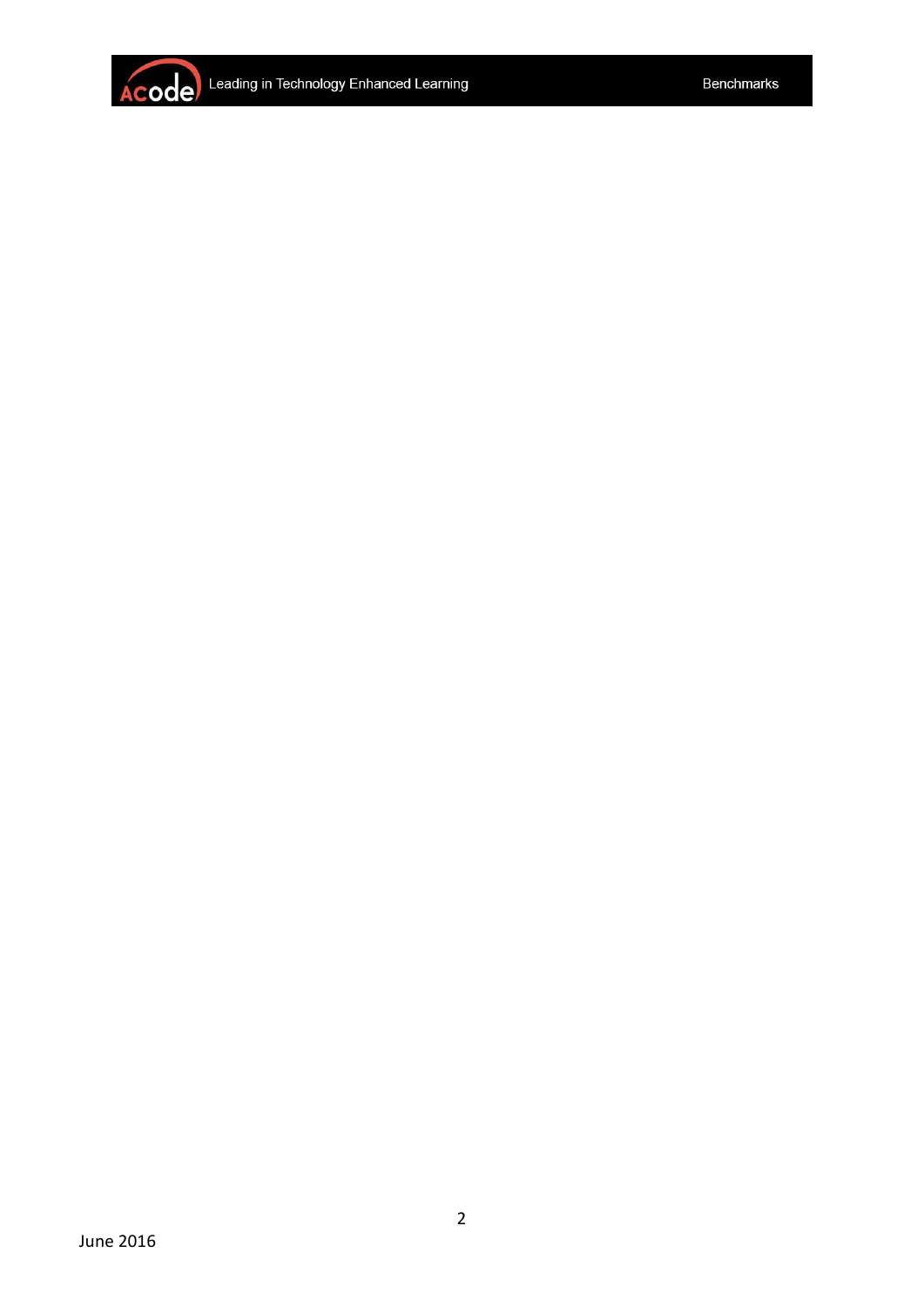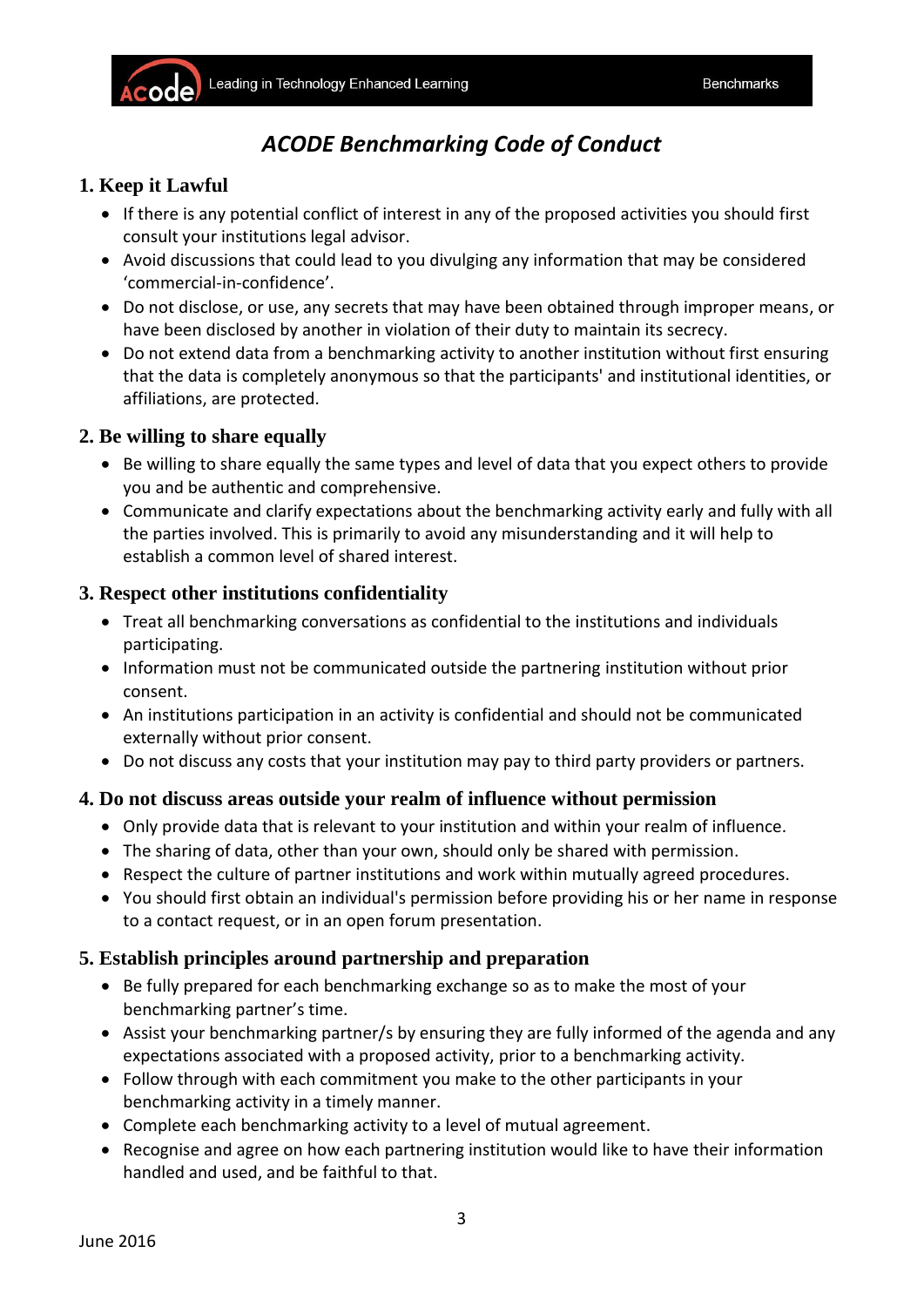

# *ACODE Benchmarking Code of Conduct*

#### **1. Keep it Lawful**

- If there is any potential conflict of interest in any of the proposed activities you should first consult your institutions legal advisor.
- Avoid discussions that could lead to you divulging any information that may be considered 'commercial-in-confidence'.
- Do not disclose, or use, any secrets that may have been obtained through improper means, or have been disclosed by another in violation of their duty to maintain its secrecy.
- Do not extend data from a benchmarking activity to another institution without first ensuring that the data is completely anonymous so that the participants' and institutional identities, or affiliations, are protected.

### **2. Be willing to share equally**

- Be willing to share equally the same types and level of data that you expect others to provide you and be authentic and comprehensive.
- Communicate and clarify expectations about the benchmarking activity early and fully with all the parties involved. This is primarily to avoid any misunderstanding and it will help to establish a common level of shared interest.

### **3. Respect other institutions confidentiality**

- Treat all benchmarking conversations as confidential to the institutions and individuals participating.
- Information must not be communicated outside the partnering institution without prior consent.
- An institutions participation in an activity is confidential and should not be communicated externally without prior consent.
- Do not discuss any costs that your institution may pay to third party providers or partners.

#### **4. Do not discuss areas outside your realm of influence without permission**

- Only provide data that is relevant to your institution and within your realm of influence.
- The sharing of data, other than your own, should only be shared with permission.
- Respect the culture of partner institutions and work within mutually agreed procedures.
- You should first obtain an individual's permission before providing his or her name in response to a contact request, or in an open forum presentation.

#### **5. Establish principles around partnership and preparation**

- Be fully prepared for each benchmarking exchange so as to make the most of your benchmarking partner's time.
- Assist your benchmarking partner/s by ensuring they are fully informed of the agenda and any expectations associated with a proposed activity, prior to a benchmarking activity.
- Follow through with each commitment you make to the other participants in your benchmarking activity in a timely manner.
- Complete each benchmarking activity to a level of mutual agreement.
- Recognise and agree on how each partnering institution would like to have their information handled and used, and be faithful to that.